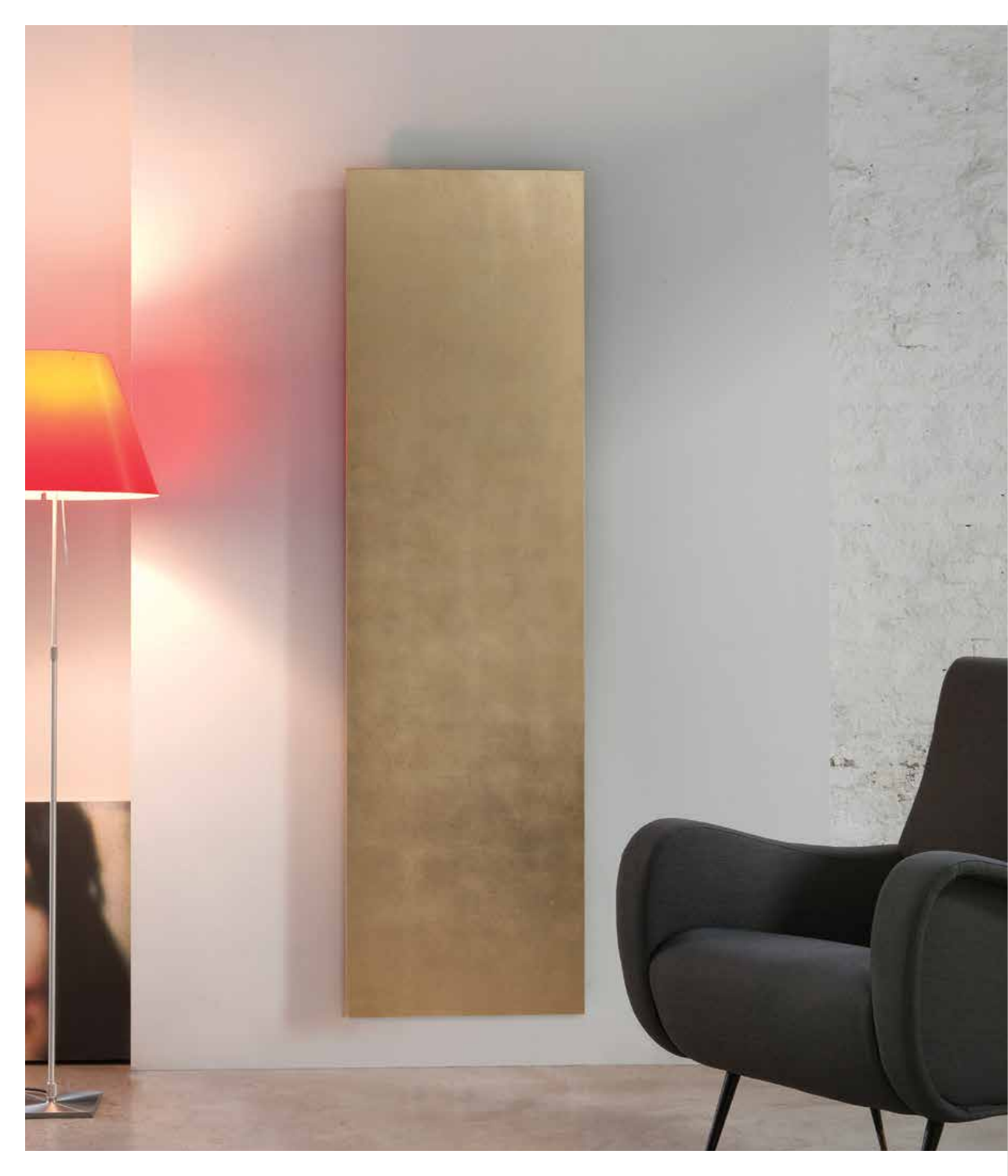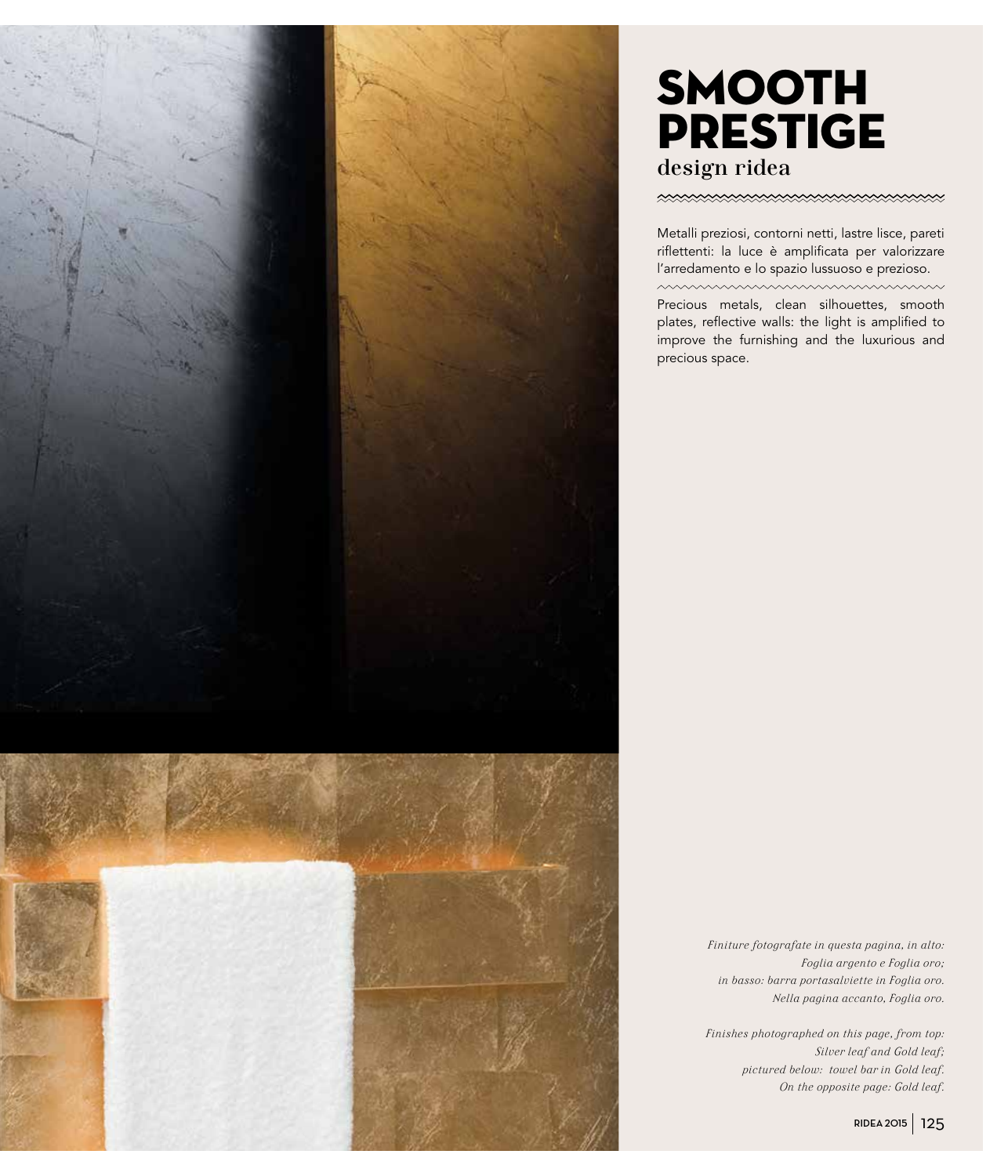

## **SMOOTH** prestige **design ridea**

#### $\begin{minipage}{0.5\linewidth} \begin{minipage}{0.5\linewidth} \begin{minipage}{0.5\linewidth} \end{minipage} \end{minipage} \begin{minipage}{0.5\linewidth} \begin{minipage}{0.5\linewidth} \begin{minipage}{0.5\linewidth} \end{minipage} \end{minipage} \begin{minipage}{0.5\linewidth} \begin{minipage}{0.5\linewidth} \end{minipage} \end{minipage} \begin{minipage}{0.5\linewidth} \begin{minipage}{0.5\linewidth} \end{minipage} \end{minipage} \begin{minipage}{0.5\linewidth} \begin{minipage}{0.5\linewidth} \end{minipage} \$

Metalli preziosi, contorni netti, lastre lisce, pareti riflettenti: la luce è amplificata per valorizzare l'arredamento e lo spazio lussuoso e prezioso. mummummummum

Precious metals, clean silhouettes, smooth plates, reflective walls: the light is amplified to improve the furnishing and the luxurious and precious space.

> *Finiture fotografate in questa pagina, in alto: Foglia argento e Foglia oro; in basso: barra portasalviette in Foglia oro. Nella pagina accanto, Foglia oro.*

*Finishes photographed on this page, from top: Silver leaf and Gold leaf; pictured below: towel bar in Gold leaf. On the opposite page: Gold leaf.*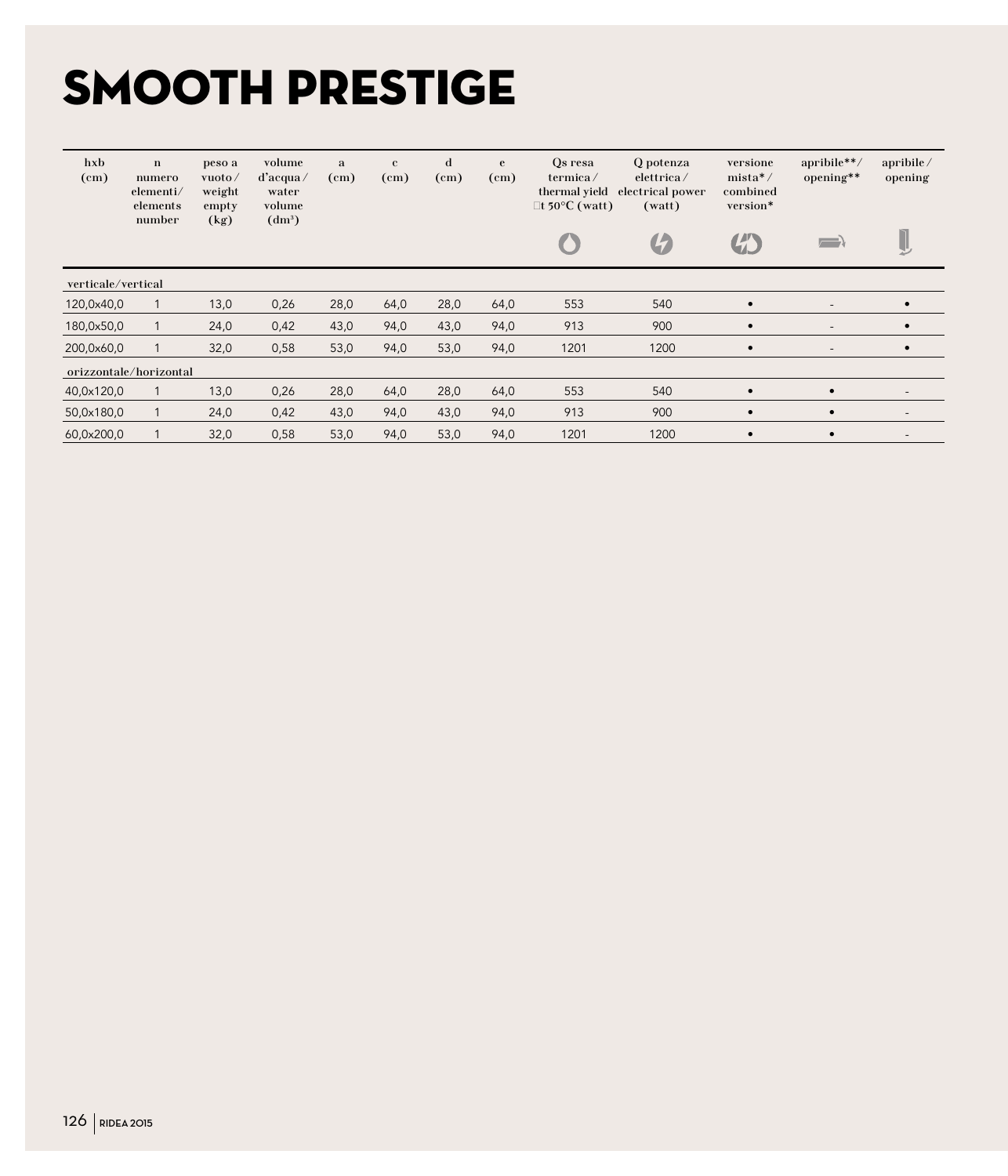# smooth prestige

| hxb<br>$\text{(cm)}$   | $\mathbf n$<br>numero<br>elementi/<br>elements<br>number | peso a<br>vuoto/<br>weight<br>empty<br>(kg) | volume<br>d'acqua /<br>water<br>volume<br>(dm <sup>3</sup> ) | a<br>$\text{(cm)}$ | $\mathbf c$<br>$\text{(cm)}$ | d<br>$\text{(cm)}$ | e<br>$\text{(cm)}$ | Os resa<br>termica/<br>thermal yield<br>$\Box t$ 50 $\degree$ C (watt) | O potenza<br>elettrica/<br>electrical power<br>(watt) | versione<br>$mista*/$<br>combined<br>version* | $apribile**/$<br>opening** | apribile/<br>opening     |
|------------------------|----------------------------------------------------------|---------------------------------------------|--------------------------------------------------------------|--------------------|------------------------------|--------------------|--------------------|------------------------------------------------------------------------|-------------------------------------------------------|-----------------------------------------------|----------------------------|--------------------------|
|                        |                                                          |                                             |                                                              |                    |                              |                    |                    |                                                                        | $\bigcirc$                                            | 40                                            | $\sqrt{2}$                 |                          |
| verticale/vertical     |                                                          |                                             |                                                              |                    |                              |                    |                    |                                                                        |                                                       |                                               |                            |                          |
| 120,0x40,0             |                                                          | 13,0                                        | 0,26                                                         | 28,0               | 64,0                         | 28,0               | 64,0               | 553                                                                    | 540                                                   | $\bullet$                                     | $\overline{\phantom{a}}$   |                          |
| 180,0x50,0             |                                                          | 24,0                                        | 0,42                                                         | 43,0               | 94,0                         | 43,0               | 94,0               | 913                                                                    | 900                                                   | $\bullet$                                     | $\sim$                     | $\bullet$                |
| 200,0x60,0             |                                                          | 32,0                                        | 0,58                                                         | 53,0               | 94,0                         | 53,0               | 94,0               | 1201                                                                   | 1200                                                  | $\bullet$                                     | $\sim$                     | $\bullet$                |
| orizzontale/horizontal |                                                          |                                             |                                                              |                    |                              |                    |                    |                                                                        |                                                       |                                               |                            |                          |
| 40,0x120,0             |                                                          | 13,0                                        | 0,26                                                         | 28,0               | 64,0                         | 28,0               | 64,0               | 553                                                                    | 540                                                   | $\bullet$                                     | $\bullet$                  | $\overline{\phantom{a}}$ |
| 50,0x180,0             | $\mathbf{1}$                                             | 24,0                                        | 0,42                                                         | 43,0               | 94,0                         | 43,0               | 94,0               | 913                                                                    | 900                                                   | $\bullet$                                     | $\bullet$                  | $\overline{\phantom{a}}$ |
| 60,0x200,0             |                                                          | 32,0                                        | 0,58                                                         | 53,0               | 94,0                         | 53,0               | 94,0               | 1201                                                                   | 1200                                                  | $\bullet$                                     | $\bullet$                  | $\overline{\phantom{a}}$ |